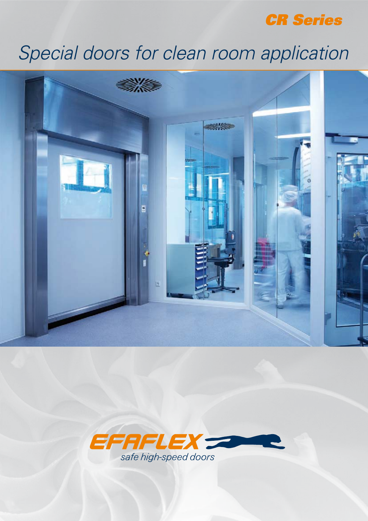

# Special doors for clean room application



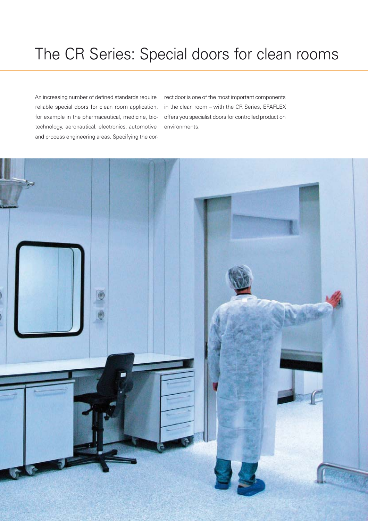# The CR Series: Special doors for clean rooms

An increasing number of defined standards require reliable special doors for clean room application, for example in the pharmaceutical, medicine, biotechnology, aeronautical, electronics, automotive and process engineering areas. Specifying the cor-

rect door is one of the most important components in the clean room – with the CR Series, EFAFLEX offers you specialist doors for controlled production environments.

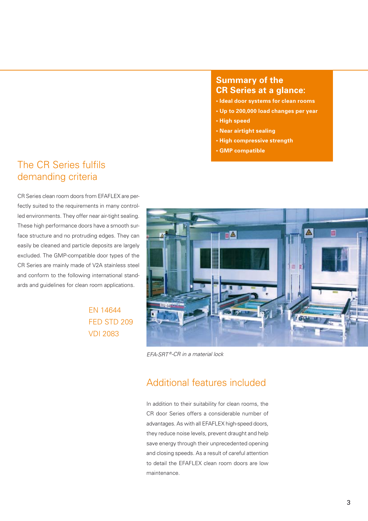#### **Summary of the CR Series at a glance:**

- **· Ideal door systems for clean rooms**
- **· Up to 200,000 load changes per year**
- **· High speed**
- **· Near airtight sealing**
- **· High compressive strength**
- **· GMP compatible**

### The CR Series fulfils demanding criteria

CR Series clean room doors from EFAFLEX are perfectly suited to the requirements in many controlled environments. They offer near air-tight sealing. These high performance doors have a smooth surface structure and no protruding edges. They can easily be cleaned and particle deposits are largely excluded. The GMP-compatible door types of the CR Series are mainly made of V2A stainless steel and conform to the following international standards and guidelines for clean room applications.

> EN 14644 FED STD 209 VDI 2083



EFA-SRT®-CR in a material lock

### Additional features included

In addition to their suitability for clean rooms, the CR door Series offers a considerable number of advantages. As with all EFAFLEX high-speed doors, they reduce noise levels, prevent draught and help save energy through their unprecedented opening and closing speeds. As a result of careful attention to detail the EFAFLEX clean room doors are low maintenance.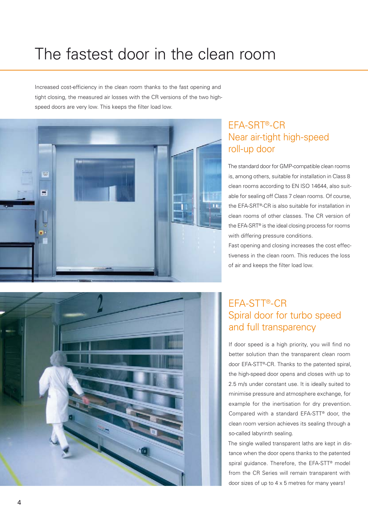# The fastest door in the clean room

Increased cost-efficiency in the clean room thanks to the fast opening and tight closing, the measured air losses with the CR versions of the two highspeed doors are very low. This keeps the filter load low.





The standard door for GMP-compatible clean rooms is, among others, suitable for installation in Class 8 clean rooms according to EN ISO 14644, also suitable for sealing off Class 7 clean rooms. Of course, the EFA-SRT®-CR is also suitable for installation in clean rooms of other classes. The CR version of the EFA-SRT® is the ideal closing process for rooms with differing pressure conditions.

Fast opening and closing increases the cost effectiveness in the clean room. This reduces the loss of air and keeps the filter load low.

# EFA-STT®-CR Spiral door for turbo speed and full transparency

If door speed is a high priority, you will find no better solution than the transparent clean room door EFA-STT®-CR. Thanks to the patented spiral, the high-speed door opens and closes with up to 2.5 m/s under constant use. It is ideally suited to minimise pressure and atmosphere exchange, for example for the inertisation for dry prevention. Compared with a standard EFA-STT® door, the clean room version achieves its sealing through a so-called labyrinth sealing.

The single walled transparent laths are kept in distance when the door opens thanks to the patented spiral quidance. Therefore, the EFA-STT<sup>®</sup> model from the CR Series will remain transparent with door sizes of up to 4 x 5 metres for many years!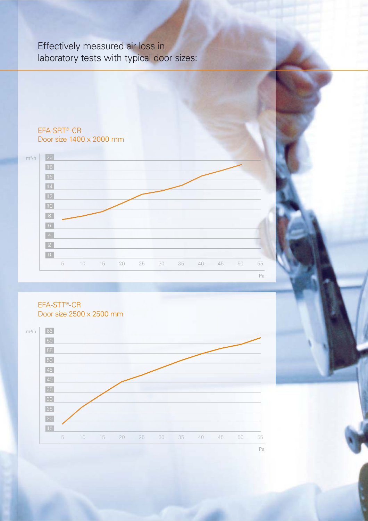# Effectively measured air loss in laboratory tests with typical door sizes:

#### 10 15 20 25 30 35 40 45 50 55 EFA-SRT®-CR Door size 1400 x 2000 mm m3 /h Pa

#### EFA-STT®-CR Door size 2500 x 2500 mm

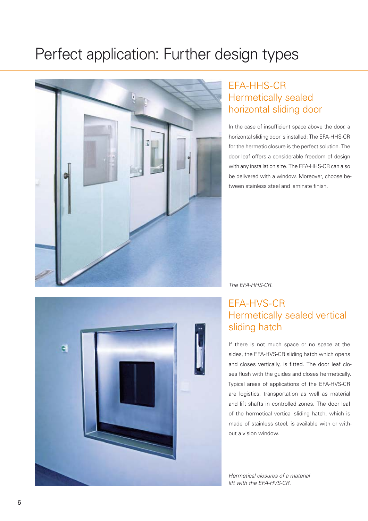# Perfect application: Further design types



# EFA-HHS-CR Hermetically sealed horizontal sliding door

In the case of insufficient space above the door, a horizontal sliding door is installed: The EFA-HHS-CR for the hermetic closure is the perfect solution. The door leaf offers a considerable freedom of design with any installation size. The EFA-HHS-CR can also be delivered with a window. Moreover, choose between stainless steel and laminate finish.



#### The EFA-HHS-CR.

# EFA-HVS-CR Hermetically sealed vertical sliding hatch

If there is not much space or no space at the sides, the EFA-HVS-CR sliding hatch which opens and closes vertically, is fitted. The door leaf closes flush with the guides and closes hermetically. Typical areas of applications of the EFA-HVS-CR are logistics, transportation as well as material and lift shafts in controlled zones. The door leaf of the hermetical vertical sliding hatch, which is made of stainless steel, is available with or without a vision window.

Hermetical closures of a material lift with the EFA-HVS-CR.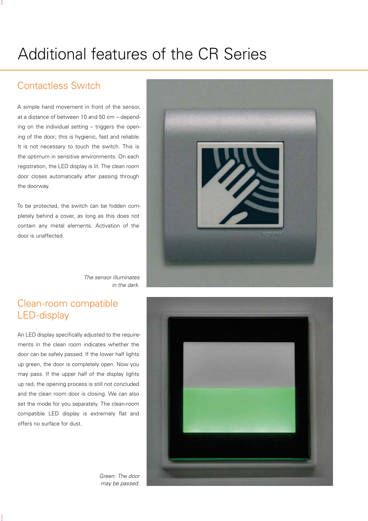# Additional features of the CR Series

## Contactless Switch

A simple hand movement in front of the sensor, at a distance of between 10 and 50 cm – depending on the individual setting – triggers the opening of the door; this is hygienic, fast and reliable. It is not necessary to touch the switch. This is the optimum in sensitive environments. On each registration, the LED display is lit. The clean room door closes automatically after passing through the doorway.

To be protected, the switch can be hidden completely behind a cover, as long as this does not contain any metal elements. Activation of the door is unaffected.



The sensor illuminates in the dark.

## Clean-room compatible LED-display

An LED display specifically adjusted to the requirements in the clean room indicates whether the door can be safely passed. If the lower half lights up green, the door is completely open. Now you may pass. If the upper half of the display lights up red, the opening process is still not concluded and the clean room door is closing. We can also set the mode for you separately. The clean-room compatible LED display is extremely flat and offers no surface for dust.



Green: The door may be passed.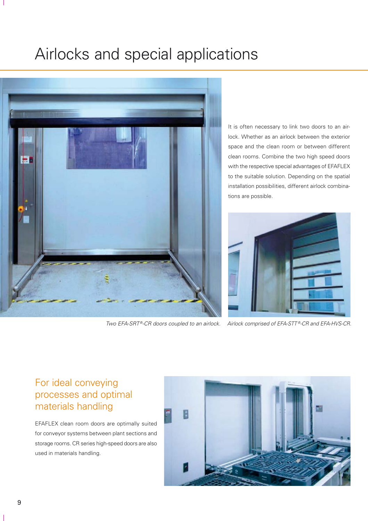# Airlocks and special applications



Two EFA-SRT®-CR doors coupled to an airlock. Airlock comprised of EFA-STT®-CR and EFA-HVS-CR.

It is often necessary to link two doors to an airlock. Whether as an airlock between the exterior space and the clean room or between different clean rooms. Combine the two high speed doors with the respective special advantages of EFAFLEX to the suitable solution. Depending on the spatial installation possibilities, different airlock combinations are possible.



## For ideal conveying processes and optimal materials handling

EFAFLEX clean room doors are optimally suited for conveyor systems between plant sections and storage rooms. CR series high-speed doors are also used in materials handling.

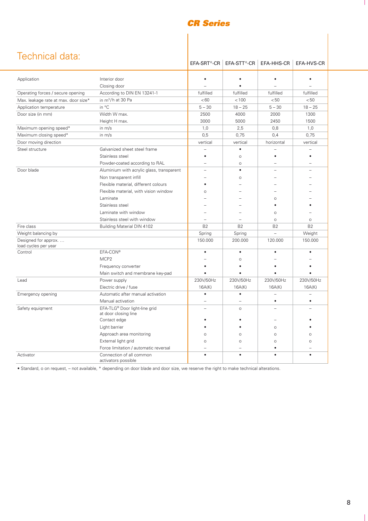#### *CR Series*

|  | Technical data: |  |
|--|-----------------|--|
|  |                 |  |

|                                             |                                                       | EFA-SRT <sup>®</sup> -CR | EFA-STT <sup>®</sup> -CR   EFA-HHS-CR |            | EFA-HVS-CR |
|---------------------------------------------|-------------------------------------------------------|--------------------------|---------------------------------------|------------|------------|
| Application                                 | Interior door                                         |                          | $\bullet$                             | $\bullet$  |            |
|                                             | Closing door                                          |                          |                                       |            |            |
| Operating forces / secure opening           | According to DIN EN 13241-1                           | fulfilled                | fulfilled                             | fulfilled  | fulfilled  |
| Max. leakage rate at max. door size*        | in $m^3/h$ at 30 Pa                                   | < 60                     | < 100                                 | < 50       | < 50       |
| Application temperature                     | in °C                                                 | $5 - 30$                 | $18 - 25$                             | $5 - 30$   | $18 - 25$  |
| Door size (in mm)                           | Width W max.                                          | 2500                     | 4000                                  | 2000       | 1300       |
|                                             | Height H max.                                         | 3000                     | 5000                                  | 2450       | 1500       |
| Maximum opening speed*                      | in m/s                                                | 1,0                      | 2,5                                   | 0,8        | 1,0        |
| Maximum closing speed*                      | in m/s                                                | 0,5                      | 0,75                                  | 0,4        | 0,75       |
| Door moving direction                       |                                                       | vertical                 | vertical                              | horizontal | vertical   |
| Steel structure                             | Galvanized sheet steel frame                          |                          |                                       |            |            |
|                                             | Stainless steel                                       |                          | $\circ$                               |            |            |
|                                             | Powder-coated according to RAL                        |                          | $\circ$                               |            |            |
| Door blade                                  | Aluminium with acrylic glass, transparent             | $\equiv$                 | $\bullet$                             |            |            |
|                                             | Non transparent infill                                |                          | Ō                                     |            |            |
|                                             | Flexible material, different colours                  | ٠                        |                                       |            |            |
|                                             | Flexible material, with vision window                 | $\circ$                  |                                       |            |            |
|                                             | Laminate                                              |                          |                                       | $\circ$    |            |
|                                             | Stainless steel                                       |                          |                                       |            |            |
|                                             | Laminate with window                                  |                          |                                       | $\circ$    |            |
|                                             | Stainless steel with window                           |                          |                                       | $\circ$    | $\circ$    |
| Fire class                                  | <b>Building Material DIN 4102</b>                     | B <sub>2</sub>           | <b>B2</b>                             | <b>B2</b>  | <b>B2</b>  |
| Weight balancing by                         |                                                       | Spring                   | Spring                                |            | Weight     |
| Designed for approx<br>load cycles per year |                                                       | 150.000                  | 200.000                               | 120.000    | 150.000    |
| Control                                     | EFA-CON®                                              | $\bullet$                | $\bullet$                             |            |            |
|                                             | MCP <sub>2</sub>                                      |                          | $\circ$                               |            |            |
|                                             | Frequency converter                                   |                          |                                       |            |            |
|                                             | Main switch and membrane key-pad                      |                          |                                       |            |            |
| Lead                                        | Power supply                                          | 230V/50Hz                | 230V/50Hz                             | 230V/50Hz  | 230V/50Hz  |
|                                             | Electric drive / fuse                                 | 16A(K)                   | 16A(K)                                | 16A(K)     | 16A(K)     |
| Emergency opening                           | Automatic after manual activation                     | $\bullet$                | $\bullet$                             |            |            |
|                                             | Manual activation                                     | $\equiv$                 |                                       | ٠          | ٠          |
| Safety equigment                            | EFA-TLG® Door light-line grid<br>at door closing line | $=$                      | $\circ$                               |            |            |
|                                             | Contact edge                                          |                          |                                       |            |            |
|                                             | Light barrier                                         |                          |                                       | $\circ$    |            |
|                                             | Approach area monitoring                              | $\circ$                  | $\Omega$                              | $\circ$    |            |
|                                             | External light grid                                   | $\circ$                  | $\circ$                               | $\circ$    | $\Omega$   |
|                                             | Force limitation / automatic reversal                 |                          |                                       |            |            |
| Activator                                   | Connection of all common<br>activators possible       | $\bullet$                | $\bullet$                             |            | $\bullet$  |

• Standard, o on request, – not available, \* depending on door blade and door size, we reserve the right to make technical alterations.

 $\mathbf{I}$